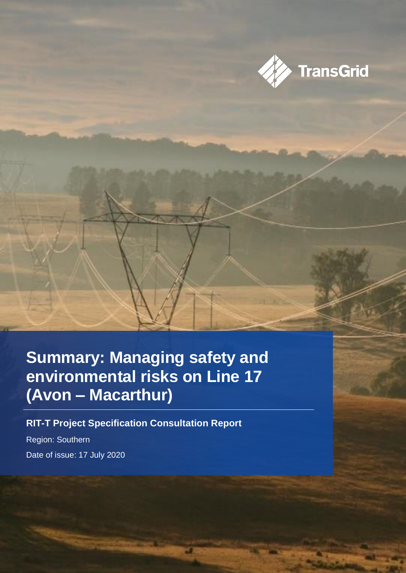

### **Summary: Managing safety and environmental risks on Line 17 (Avon – Macarthur)**

**RIT-T Project Specification Consultation Report**

Region: Southern Date of issue: 17 July 2020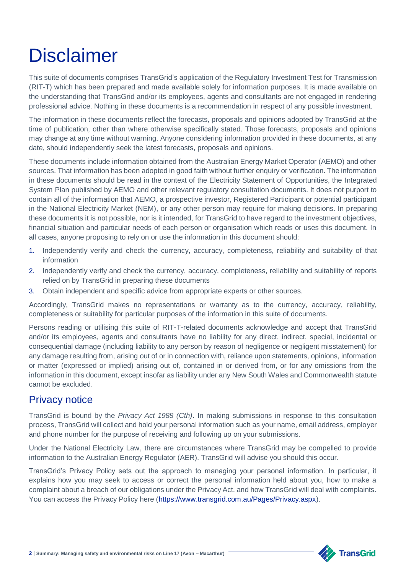## **Disclaimer**

This suite of documents comprises TransGrid's application of the Regulatory Investment Test for Transmission (RIT-T) which has been prepared and made available solely for information purposes. It is made available on the understanding that TransGrid and/or its employees, agents and consultants are not engaged in rendering professional advice. Nothing in these documents is a recommendation in respect of any possible investment.

The information in these documents reflect the forecasts, proposals and opinions adopted by TransGrid at the time of publication, other than where otherwise specifically stated. Those forecasts, proposals and opinions may change at any time without warning. Anyone considering information provided in these documents, at any date, should independently seek the latest forecasts, proposals and opinions.

These documents include information obtained from the Australian Energy Market Operator (AEMO) and other sources. That information has been adopted in good faith without further enquiry or verification. The information in these documents should be read in the context of the Electricity Statement of Opportunities, the Integrated System Plan published by AEMO and other relevant regulatory consultation documents. It does not purport to contain all of the information that AEMO, a prospective investor, Registered Participant or potential participant in the National Electricity Market (NEM), or any other person may require for making decisions. In preparing these documents it is not possible, nor is it intended, for TransGrid to have regard to the investment objectives, financial situation and particular needs of each person or organisation which reads or uses this document. In all cases, anyone proposing to rely on or use the information in this document should:

- 1. Independently verify and check the currency, accuracy, completeness, reliability and suitability of that information
- 2. Independently verify and check the currency, accuracy, completeness, reliability and suitability of reports relied on by TransGrid in preparing these documents
- 3. Obtain independent and specific advice from appropriate experts or other sources.

Accordingly, TransGrid makes no representations or warranty as to the currency, accuracy, reliability, completeness or suitability for particular purposes of the information in this suite of documents.

Persons reading or utilising this suite of RIT-T-related documents acknowledge and accept that TransGrid and/or its employees, agents and consultants have no liability for any direct, indirect, special, incidental or consequential damage (including liability to any person by reason of negligence or negligent misstatement) for any damage resulting from, arising out of or in connection with, reliance upon statements, opinions, information or matter (expressed or implied) arising out of, contained in or derived from, or for any omissions from the information in this document, except insofar as liability under any New South Wales and Commonwealth statute cannot be excluded.

### Privacy notice

TransGrid is bound by the *Privacy Act 1988 (Cth)*. In making submissions in response to this consultation process, TransGrid will collect and hold your personal information such as your name, email address, employer and phone number for the purpose of receiving and following up on your submissions.

Under the National Electricity Law, there are circumstances where TransGrid may be compelled to provide information to the Australian Energy Regulator (AER). TransGrid will advise you should this occur.

TransGrid's Privacy Policy sets out the approach to managing your personal information. In particular, it explains how you may seek to access or correct the personal information held about you, how to make a complaint about a breach of our obligations under the Privacy Act, and how TransGrid will deal with complaints. You can access the Privacy Policy here [\(https://www.transgrid.com.au/Pages/Privacy.aspx\)](https://www.transgrid.com.au/Pages/Privacy.aspx).

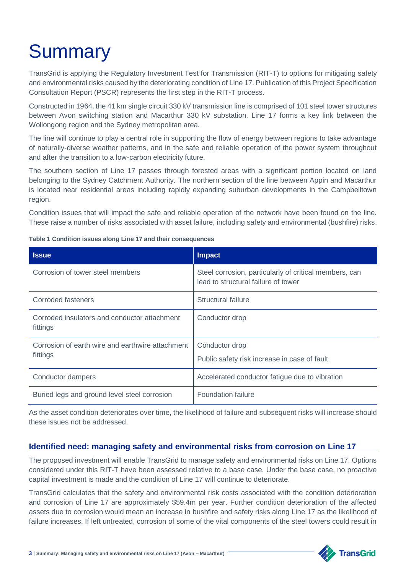# **Summary**

TransGrid is applying the Regulatory Investment Test for Transmission (RIT-T) to options for mitigating safety and environmental risks caused by the deteriorating condition of Line 17. Publication of this Project Specification Consultation Report (PSCR) represents the first step in the RIT-T process.

Constructed in 1964, the 41 km single circuit 330 kV transmission line is comprised of 101 steel tower structures between Avon switching station and Macarthur 330 kV substation. Line 17 forms a key link between the Wollongong region and the Sydney metropolitan area.

The line will continue to play a central role in supporting the flow of energy between regions to take advantage of naturally-diverse weather patterns, and in the safe and reliable operation of the power system throughout and after the transition to a low-carbon electricity future.

The southern section of Line 17 passes through forested areas with a significant portion located on land belonging to the Sydney Catchment Authority. The northern section of the line between Appin and Macarthur is located near residential areas including rapidly expanding suburban developments in the Campbelltown region.

Condition issues that will impact the safe and reliable operation of the network have been found on the line. These raise a number of risks associated with asset failure, including safety and environmental (bushfire) risks.

| <b>Issue</b>                                                 | <b>Impact</b>                                                                                 |  |
|--------------------------------------------------------------|-----------------------------------------------------------------------------------------------|--|
| Corrosion of tower steel members                             | Steel corrosion, particularly of critical members, can<br>lead to structural failure of tower |  |
| Corroded fasteners                                           | Structural failure                                                                            |  |
| Corroded insulators and conductor attachment<br>fittings     | Conductor drop                                                                                |  |
| Corrosion of earth wire and earthwire attachment<br>fittings | Conductor drop<br>Public safety risk increase in case of fault                                |  |
| Conductor dampers                                            | Accelerated conductor fatigue due to vibration                                                |  |
| Buried legs and ground level steel corrosion                 | <b>Foundation failure</b>                                                                     |  |

**Table 1 Condition issues along Line 17 and their consequences**

As the asset condition deteriorates over time, the likelihood of failure and subsequent risks will increase should these issues not be addressed.

#### **Identified need: managing safety and environmental risks from corrosion on Line 17**

The proposed investment will enable TransGrid to manage safety and environmental risks on Line 17. Options considered under this RIT-T have been assessed relative to a base case. Under the base case, no proactive capital investment is made and the condition of Line 17 will continue to deteriorate.

TransGrid calculates that the safety and environmental risk costs associated with the condition deterioration and corrosion of Line 17 are approximately \$59.4m per year. Further condition deterioration of the affected assets due to corrosion would mean an increase in bushfire and safety risks along Line 17 as the likelihood of failure increases. If left untreated, corrosion of some of the vital components of the steel towers could result in



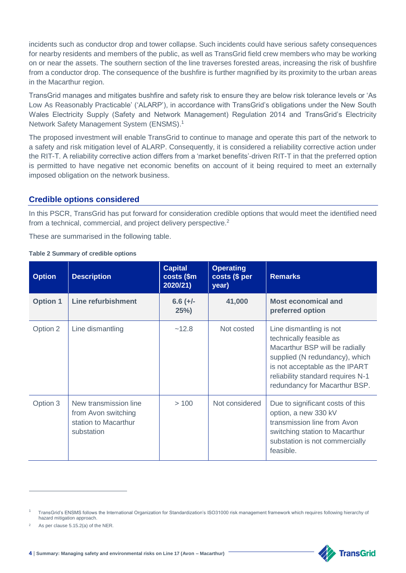incidents such as conductor drop and tower collapse. Such incidents could have serious safety consequences for nearby residents and members of the public, as well as TransGrid field crew members who may be working on or near the assets. The southern section of the line traverses forested areas, increasing the risk of bushfire from a conductor drop. The consequence of the bushfire is further magnified by its proximity to the urban areas in the Macarthur region.

TransGrid manages and mitigates bushfire and safety risk to ensure they are below risk tolerance levels or 'As Low As Reasonably Practicable' ('ALARP'), in accordance with TransGrid's obligations under the New South Wales Electricity Supply (Safety and Network Management) Regulation 2014 and TransGrid's Electricity Network Safety Management System (ENSMS).<sup>1</sup>

The proposed investment will enable TransGrid to continue to manage and operate this part of the network to a safety and risk mitigation level of ALARP. Consequently, it is considered a reliability corrective action under the RIT-T. A reliability corrective action differs from a 'market benefits'-driven RIT-T in that the preferred option is permitted to have negative net economic benefits on account of it being required to meet an externally imposed obligation on the network business.

#### **Credible options considered**

In this PSCR, TransGrid has put forward for consideration credible options that would meet the identified need from a technical, commercial, and project delivery perspective.<sup>2</sup>

These are summarised in the following table.

#### **Table 2 Summary of credible options**

| <b>Option</b>   | <b>Description</b>                                                                 | <b>Capital</b><br>costs (\$m)<br>2020/21) | <b>Operating</b><br>costs (\$ per<br>year) | <b>Remarks</b>                                                                                                                                                                                                                 |
|-----------------|------------------------------------------------------------------------------------|-------------------------------------------|--------------------------------------------|--------------------------------------------------------------------------------------------------------------------------------------------------------------------------------------------------------------------------------|
| <b>Option 1</b> | <b>Line refurbishment</b>                                                          | $6.6 (+/-)$<br>25%                        | 41,000                                     | <b>Most economical and</b><br>preferred option                                                                                                                                                                                 |
| Option 2        | Line dismantling                                                                   | ~12.8                                     | Not costed                                 | Line dismantling is not<br>technically feasible as<br>Macarthur BSP will be radially<br>supplied (N redundancy), which<br>is not acceptable as the IPART<br>reliability standard requires N-1<br>redundancy for Macarthur BSP. |
| Option 3        | New transmission line<br>from Avon switching<br>station to Macarthur<br>substation | >100                                      | Not considered                             | Due to significant costs of this<br>option, a new 330 kV<br>transmission line from Avon<br>switching station to Macarthur<br>substation is not commercially<br>feasible.                                                       |

 $\overline{a}$ 



<sup>1</sup> TransGrid's ENSMS follows the International Organization for Standardization's ISO31000 risk management framework which requires following hierarchy of hazard mitigation approach.

As per clause 5.15.2(a) of the NER.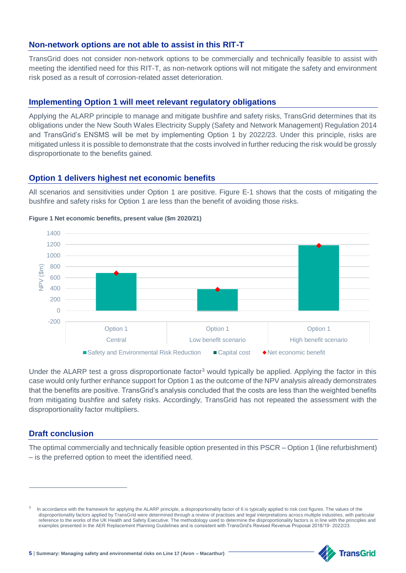#### **Non-network options are not able to assist in this RIT-T**

TransGrid does not consider non-network options to be commercially and technically feasible to assist with meeting the identified need for this RIT-T, as non-network options will not mitigate the safety and environment risk posed as a result of corrosion-related asset deterioration.

#### **Implementing Option 1 will meet relevant regulatory obligations**

Applying the ALARP principle to manage and mitigate bushfire and safety risks, TransGrid determines that its obligations under the New South Wales Electricity Supply (Safety and Network Management) Regulation 2014 and TransGrid's ENSMS will be met by implementing Option 1 by 2022/23. Under this principle, risks are mitigated unless it is possible to demonstrate that the costs involved in further reducing the risk would be grossly disproportionate to the benefits gained.

#### **Option 1 delivers highest net economic benefits**

All scenarios and sensitivities under Option 1 are positive. Figure E-1 shows that the costs of mitigating the bushfire and safety risks for Option 1 are less than the benefit of avoiding those risks.



#### **Figure 1 Net economic benefits, present value (\$m 2020/21)**

Under the ALARP test a gross disproportionate factor<sup>3</sup> would typically be applied. Applying the factor in this case would only further enhance support for Option 1 as the outcome of the NPV analysis already demonstrates that the benefits are positive. TransGrid's analysis concluded that the costs are less than the weighted benefits from mitigating bushfire and safety risks. Accordingly, TransGrid has not repeated the assessment with the disproportionality factor multipliers.

#### **Draft conclusion**

 $\overline{a}$ 

The optimal commercially and technically feasible option presented in this PSCR – Option 1 (line refurbishment) – is the preferred option to meet the identified need.

<sup>3</sup> In accordance with the framework for applying the ALARP principle, a disproportionality factor of 6 is typically applied to risk cost figures. The values of the disproportionality factors applied by TransGrid were determined through a review of practises and legal interpretations across multiple industries, with particular reference to the works of the UK Health and Safety Executive. The methodology used to determine the disproportionality factors is in line with the principles and examples presented in the AER Replacement Planning Guidelines and is consistent with TransGrid's Revised Revenue Proposal 2018/19- 2022/23.

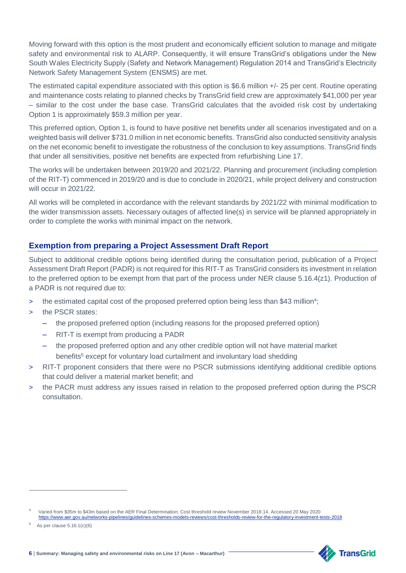Moving forward with this option is the most prudent and economically efficient solution to manage and mitigate safety and environmental risk to ALARP. Consequently, it will ensure TransGrid's obligations under the New South Wales Electricity Supply (Safety and Network Management) Regulation 2014 and TransGrid's Electricity Network Safety Management System (ENSMS) are met.

The estimated capital expenditure associated with this option is \$6.6 million +/- 25 per cent. Routine operating and maintenance costs relating to planned checks by TransGrid field crew are approximately \$41,000 per year – similar to the cost under the base case. TransGrid calculates that the avoided risk cost by undertaking Option 1 is approximately \$59.3 million per year.

This preferred option, Option 1, is found to have positive net benefits under all scenarios investigated and on a weighted basis will deliver \$731.0 million in net economic benefits. TransGrid also conducted sensitivity analysis on the net economic benefit to investigate the robustness of the conclusion to key assumptions. TransGrid finds that under all sensitivities, positive net benefits are expected from refurbishing Line 17.

The works will be undertaken between 2019/20 and 2021/22. Planning and procurement (including completion of the RIT-T) commenced in 2019/20 and is due to conclude in 2020/21, while project delivery and construction will occur in 2021/22.

All works will be completed in accordance with the relevant standards by 2021/22 with minimal modification to the wider transmission assets. Necessary outages of affected line(s) in service will be planned appropriately in order to complete the works with minimal impact on the network.

#### **Exemption from preparing a Project Assessment Draft Report**

Subject to additional credible options being identified during the consultation period, publication of a Project Assessment Draft Report (PADR) is not required for this RIT-T as TransGrid considers its investment in relation to the preferred option to be exempt from that part of the process under NER clause 5.16.4(z1). Production of a PADR is not required due to:

- > the estimated capital cost of the proposed preferred option being less than \$43 million<sup>4</sup>;
- > the PSCR states:
	- the proposed preferred option (including reasons for the proposed preferred option)
	- RIT-T is exempt from producing a PADR
	- the proposed preferred option and any other credible option will not have material market benefits<sup>5</sup> except for voluntary load curtailment and involuntary load shedding
- > RIT-T proponent considers that there were no PSCR submissions identifying additional credible options that could deliver a material market benefit; and
- the PACR must address any issues raised in relation to the proposed preferred option during the PSCR consultation.

 $\overline{a}$ 



<sup>4</sup> Varied from \$35m to \$43m based on the AER Final Determination: Cost threshold review November 2018.14. Accessed 20 May 2020 <https://www.aer.gov.au/networks-pipelines/guidelines-schemes-models-reviews/cost-thresholds-review-for-the-regulatory-investment-tests-2018>

<sup>5</sup> As per clause 5.16.1(c)(6)